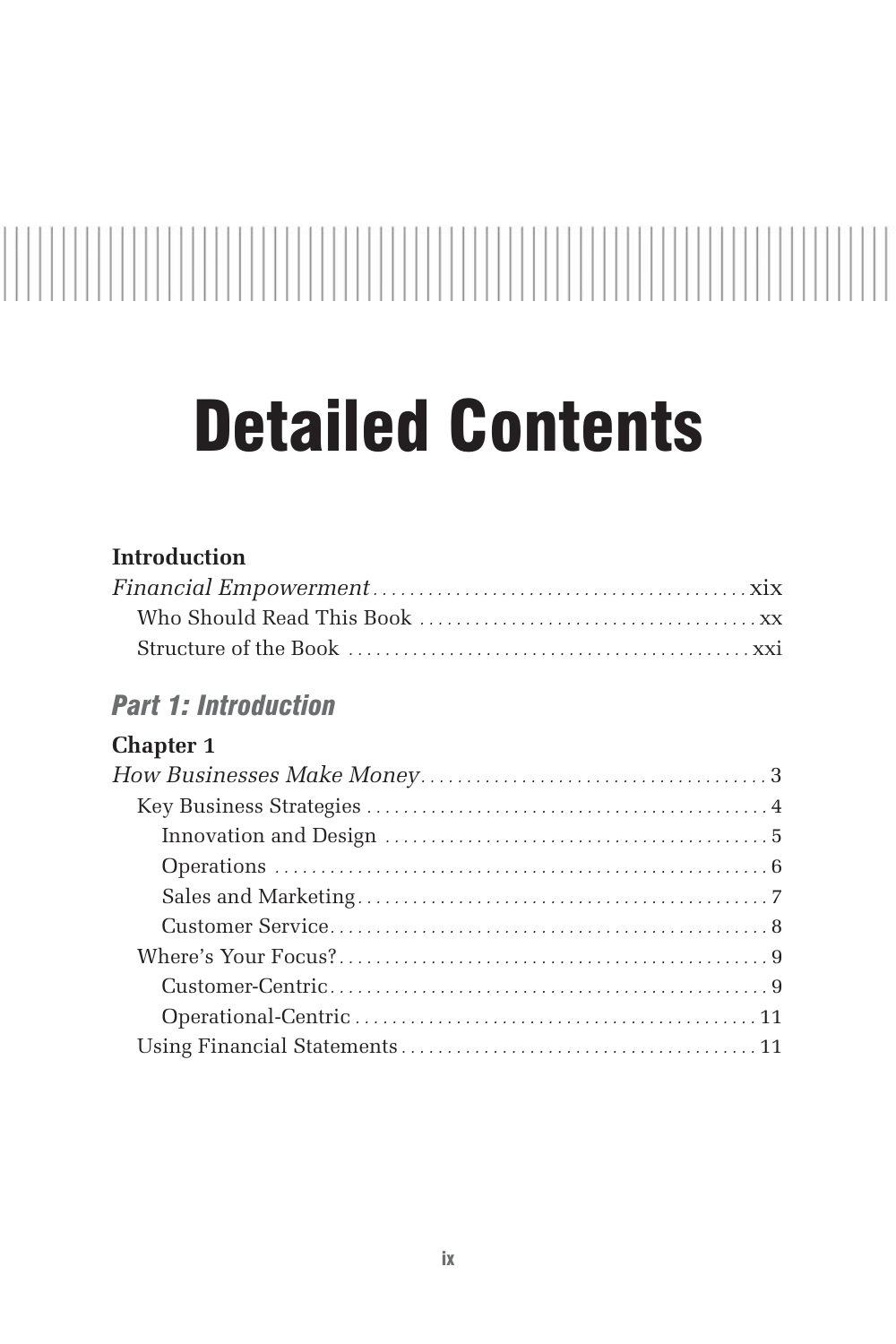# Detailed Contents

# **Introduction**

# *Part 1: Introduction*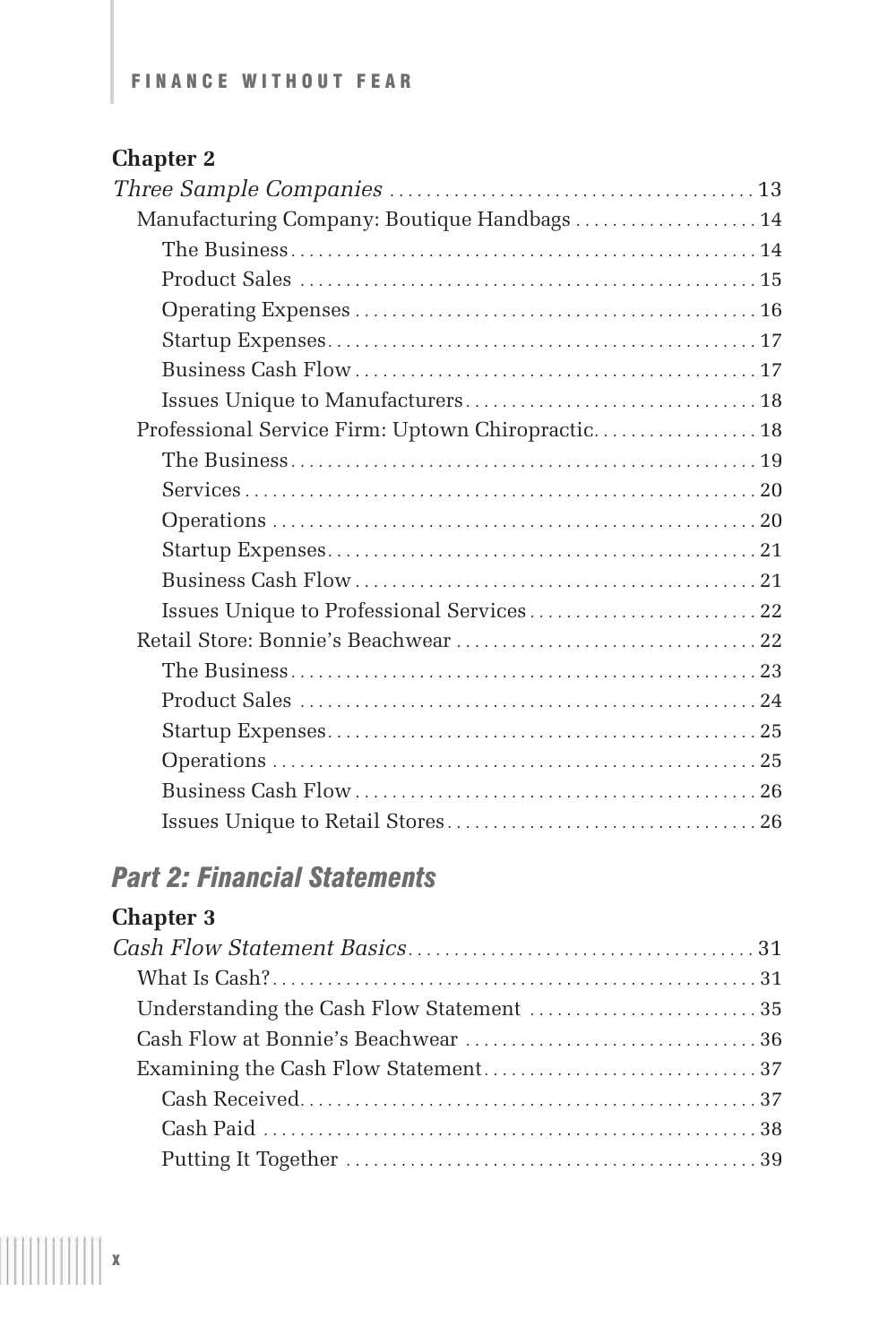| Manufacturing Company: Boutique Handbags  14      |  |
|---------------------------------------------------|--|
|                                                   |  |
|                                                   |  |
|                                                   |  |
|                                                   |  |
|                                                   |  |
|                                                   |  |
| Professional Service Firm: Uptown Chiropractic 18 |  |
|                                                   |  |
|                                                   |  |
|                                                   |  |
|                                                   |  |
|                                                   |  |
| Issues Unique to Professional Services 22         |  |
|                                                   |  |
|                                                   |  |
|                                                   |  |
|                                                   |  |
|                                                   |  |
|                                                   |  |
|                                                   |  |

# *Part 2: Financial Statements*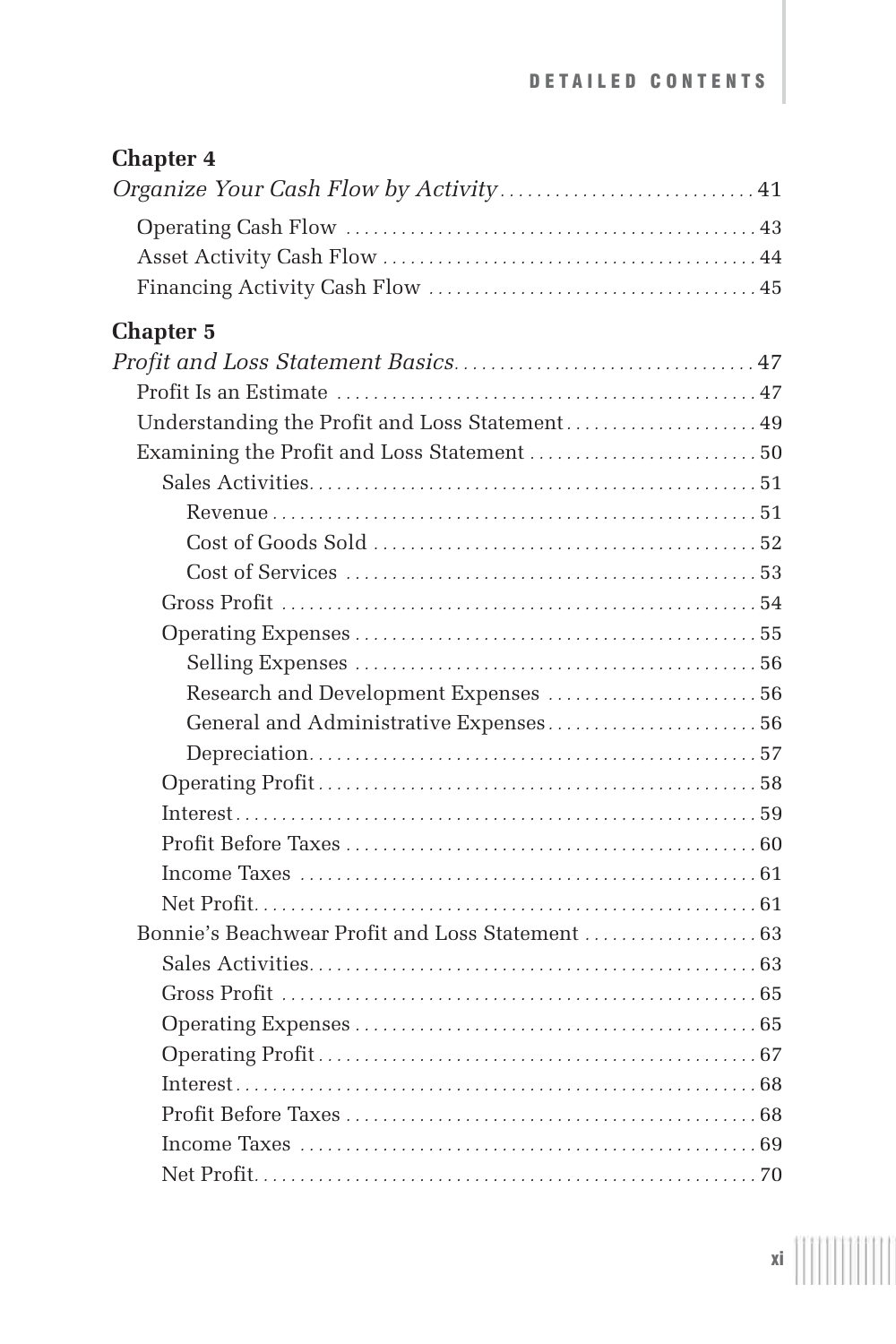#### DETAILED CONTENTS

# **Chapter 4**

| Organize Your Cash Flow by Activity 41           |  |
|--------------------------------------------------|--|
|                                                  |  |
|                                                  |  |
|                                                  |  |
| <b>Chapter 5</b>                                 |  |
|                                                  |  |
|                                                  |  |
| Understanding the Profit and Loss Statement 49   |  |
| Examining the Profit and Loss Statement  50      |  |
|                                                  |  |
|                                                  |  |
|                                                  |  |
|                                                  |  |
|                                                  |  |
|                                                  |  |
|                                                  |  |
| Research and Development Expenses  56            |  |
| General and Administrative Expenses 56           |  |
|                                                  |  |
|                                                  |  |
|                                                  |  |
|                                                  |  |
|                                                  |  |
|                                                  |  |
| Bonnie's Beachwear Profit and Loss Statement  63 |  |
|                                                  |  |
|                                                  |  |
|                                                  |  |
|                                                  |  |
|                                                  |  |
|                                                  |  |
|                                                  |  |
|                                                  |  |

xi $\left[\left[\left[\left[\left[\left[\right]\right]\right]\right]\right]\right]\left[\left[\left[\left[\right]\right]\right]\right]$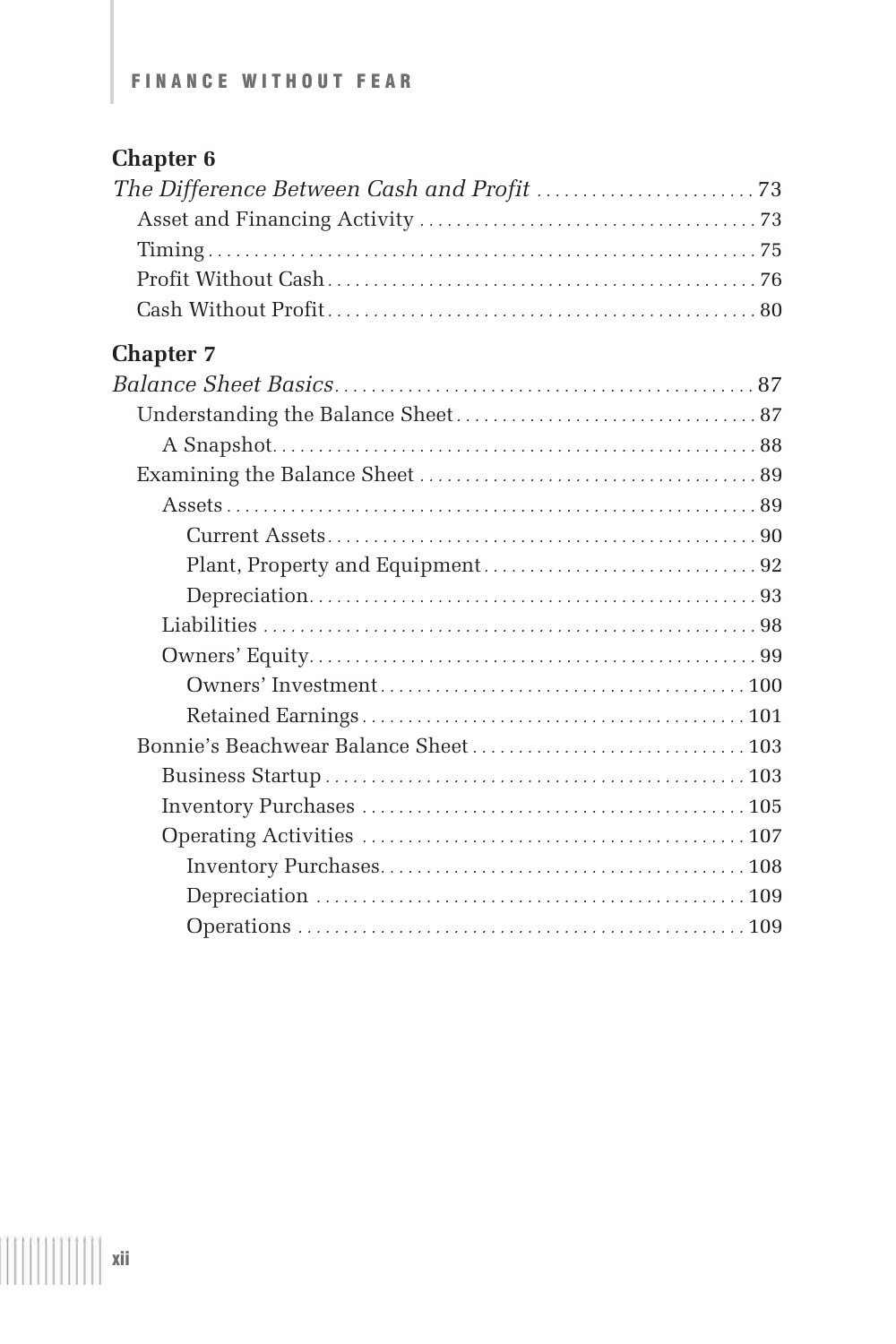| <b>Chapter 7</b> |  |
|------------------|--|
|                  |  |
|                  |  |
|                  |  |
|                  |  |
|                  |  |
|                  |  |
|                  |  |
|                  |  |
|                  |  |
|                  |  |
|                  |  |
|                  |  |
|                  |  |
|                  |  |
|                  |  |
|                  |  |
|                  |  |
|                  |  |
|                  |  |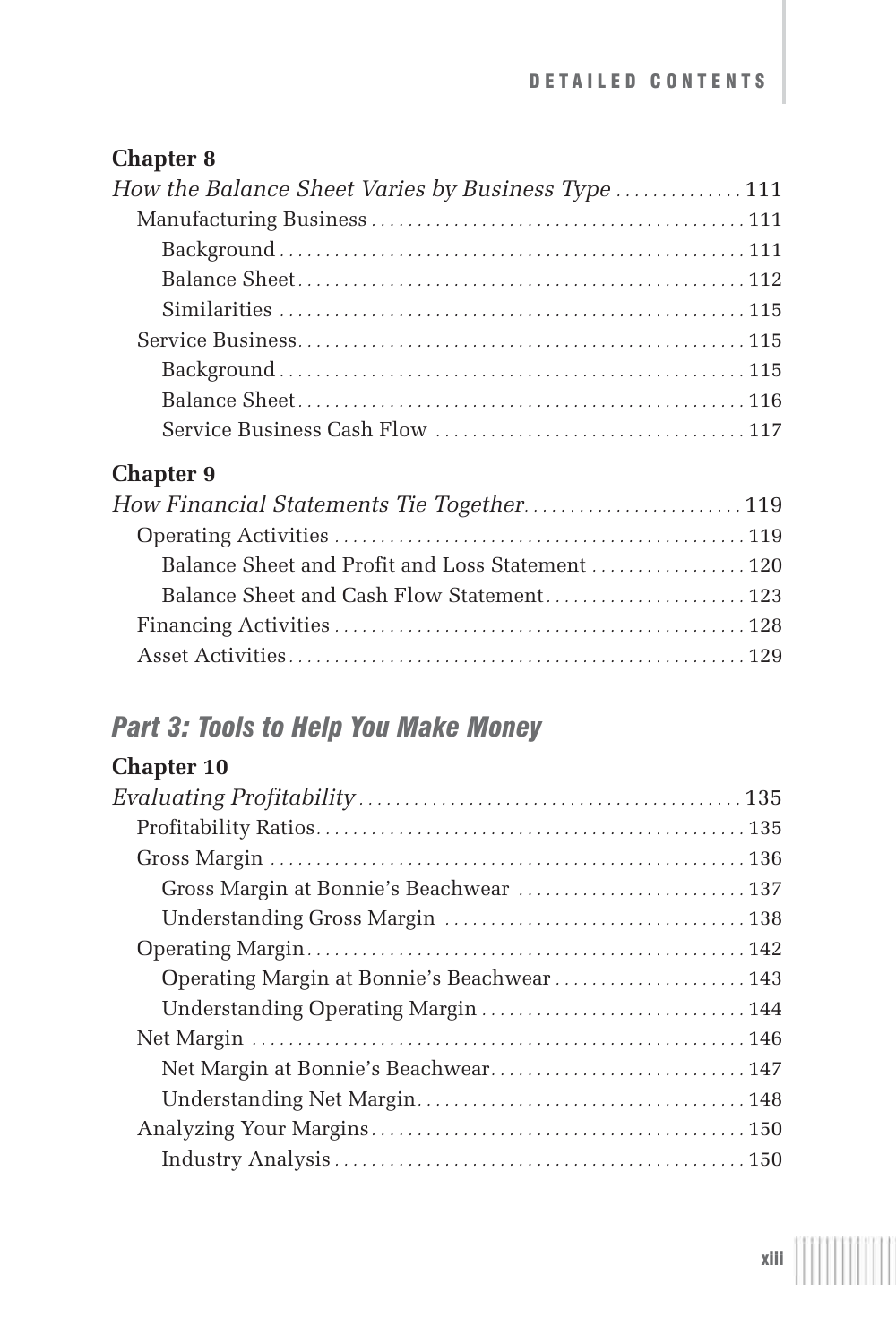| How the Balance Sheet Varies by Business Type  111 |
|----------------------------------------------------|
|                                                    |
|                                                    |
|                                                    |
|                                                    |
|                                                    |
|                                                    |
|                                                    |
|                                                    |
| <b>Chapter 9</b>                                   |
| How Financial Statements Tie Together 119          |
|                                                    |
| Balance Sheet and Profit and Loss Statement 120    |
| Balance Sheet and Cash Flow Statement 123          |
|                                                    |
|                                                    |

# *Part 3: Tools to Help You Make Money*

| Gross Margin at Bonnie's Beachwear  137    |  |
|--------------------------------------------|--|
|                                            |  |
|                                            |  |
| Operating Margin at Bonnie's Beachwear 143 |  |
| Understanding Operating Margin  144        |  |
|                                            |  |
| Net Margin at Bonnie's Beachwear 147       |  |
|                                            |  |
|                                            |  |
|                                            |  |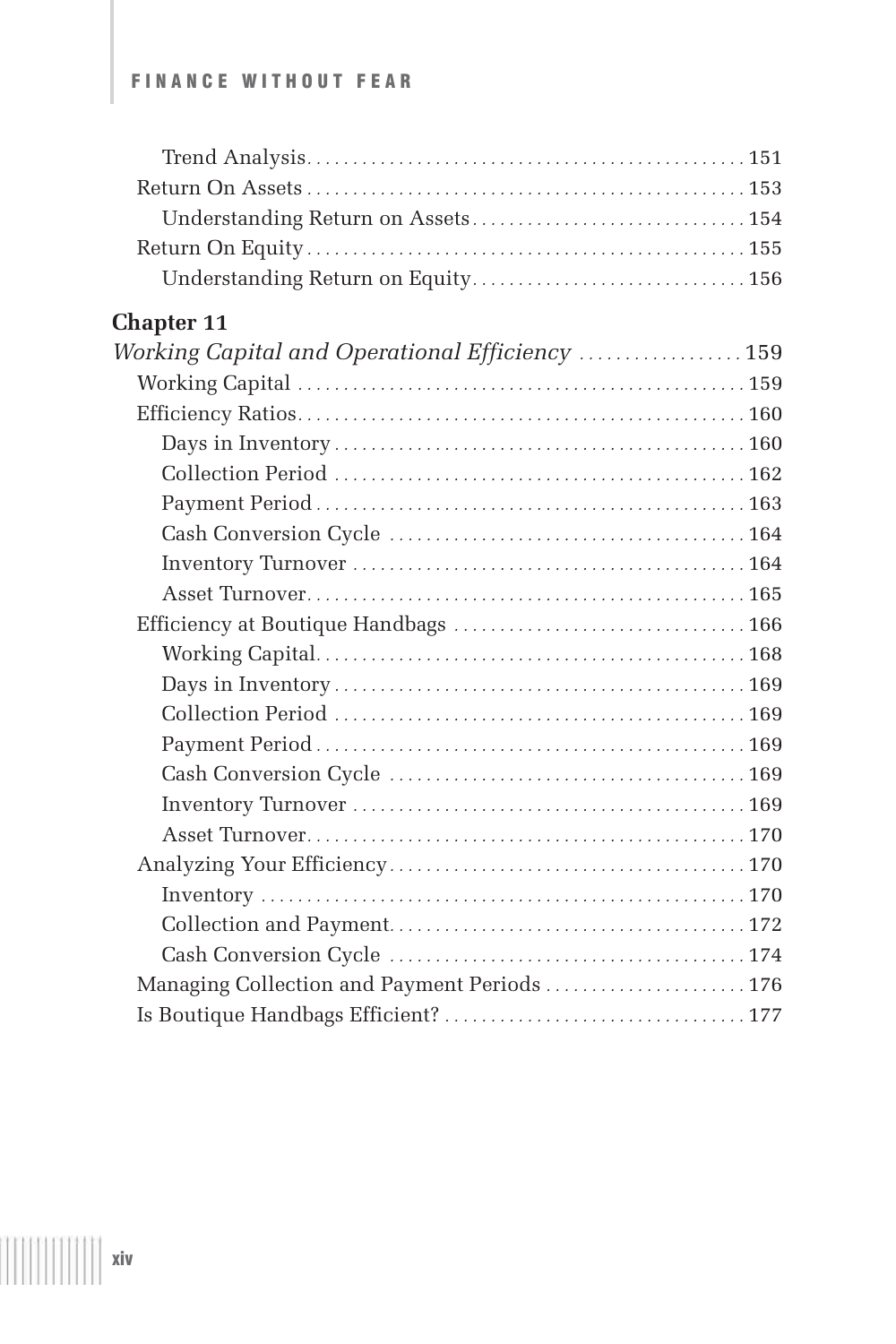| <b>Chapter 11</b>                               |  |
|-------------------------------------------------|--|
| Working Capital and Operational Efficiency  159 |  |
|                                                 |  |
|                                                 |  |
|                                                 |  |
|                                                 |  |
|                                                 |  |
|                                                 |  |
|                                                 |  |
|                                                 |  |
|                                                 |  |
|                                                 |  |
|                                                 |  |
|                                                 |  |
|                                                 |  |
|                                                 |  |
|                                                 |  |
|                                                 |  |
|                                                 |  |
|                                                 |  |
|                                                 |  |
|                                                 |  |
| Managing Collection and Payment Periods  176    |  |
|                                                 |  |
|                                                 |  |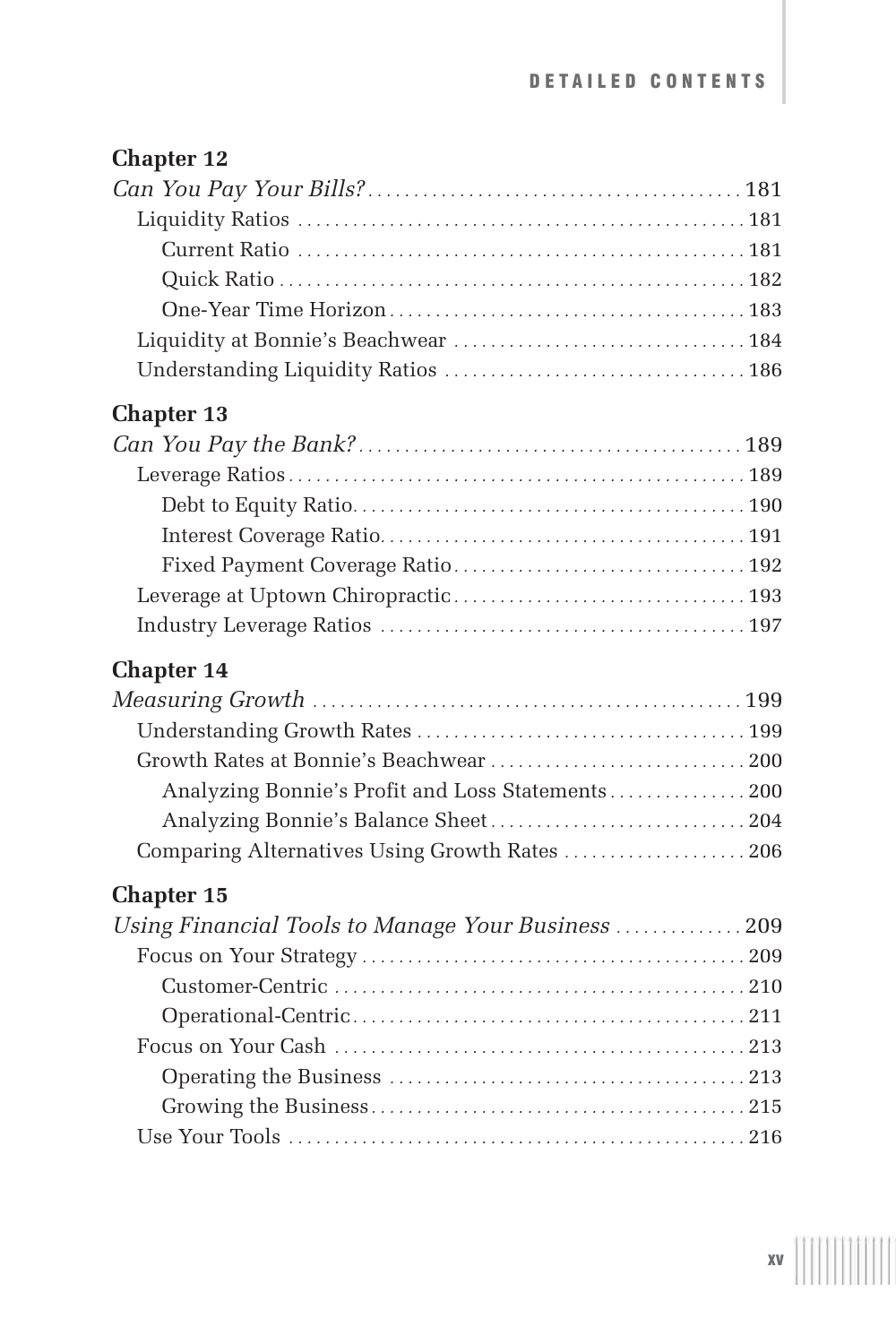| <b>Chapter 13</b>                                  |
|----------------------------------------------------|
|                                                    |
|                                                    |
|                                                    |
|                                                    |
|                                                    |
|                                                    |
|                                                    |
| <b>Chapter 14</b>                                  |
|                                                    |
|                                                    |
|                                                    |
| Analyzing Bonnie's Profit and Loss Statements  200 |
|                                                    |
| Comparing Alternatives Using Growth Rates  206     |
| <b>Chapter 15</b>                                  |
| Using Financial Tools to Manage Your Business 209  |
|                                                    |
|                                                    |
|                                                    |
|                                                    |
|                                                    |
|                                                    |
|                                                    |
|                                                    |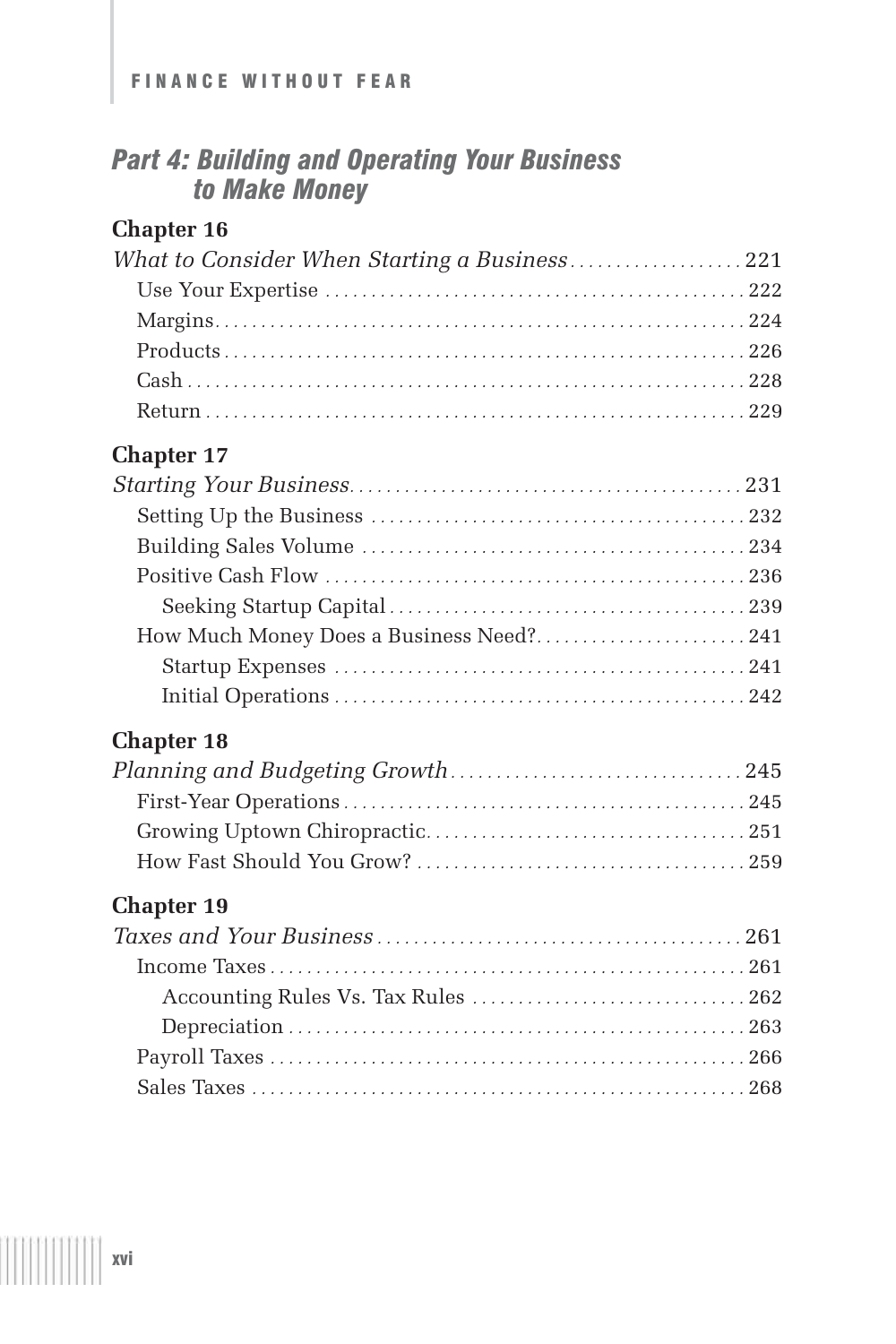# *Part 4: Building and Operating Your Business to Make Money*

### **Chapter 16**

| What to Consider When Starting a Business221 |  |
|----------------------------------------------|--|
|                                              |  |
|                                              |  |
|                                              |  |
|                                              |  |
|                                              |  |

## **Chapter 17**

| How Much Money Does a Business Need?241 |  |
|-----------------------------------------|--|
|                                         |  |
|                                         |  |

# **Chapter 18**

# **Chapter 19**

T